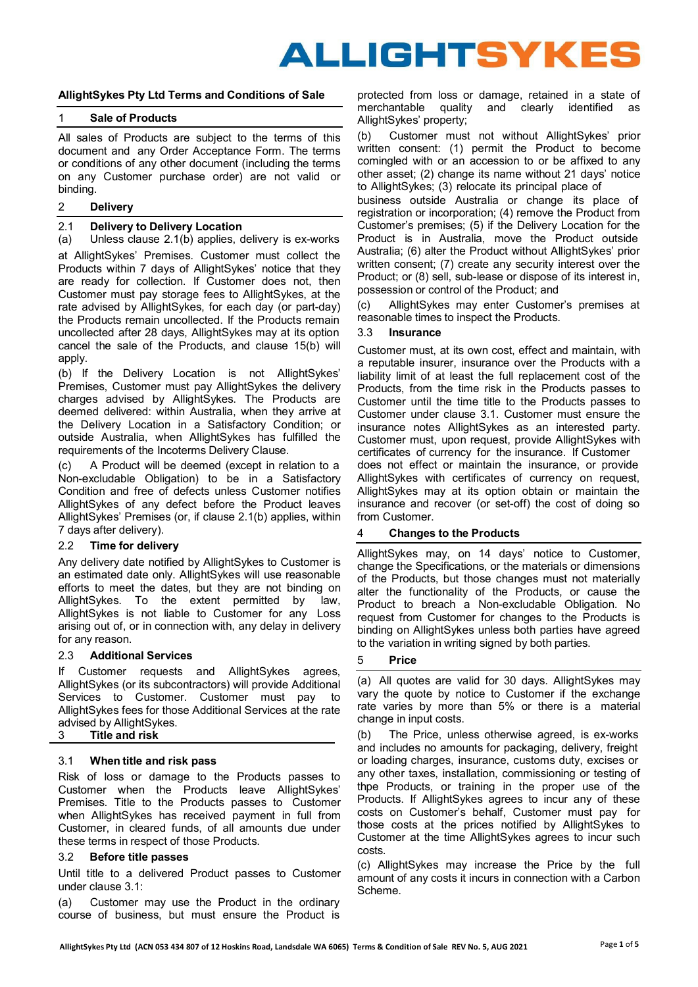# ALLIGHTSYKES

# **AllightSykes Pty Ltd Terms and Conditions of Sale**

# 1 **Sale of Products**

All sales of Products are subject to the terms of this document and any Order Acceptance Form. The terms or conditions of any other document (including the terms on any Customer purchase order) are not valid or binding.

#### 2 **Delivery**

#### <span id="page-0-0"></span>2.1 **Delivery to Delivery Location**

(a) Unless clause [2.1\(b\)](#page-0-0) applies, delivery is ex-works at AllightSykes' Premises. Customer must collect the Products within 7 days of AllightSykes' notice that they are ready for collection. If Customer does not, then Customer must pay storage fees to AllightSykes, at the rate advised by AllightSykes, for each day (or part-day) the Products remain uncollected. If the Products remain uncollected after 28 days, AllightSykes may at its option 3.3 **Insurance** cancel the sale of the Products, and clause [15\(b\)](#page-3-0) will apply.

(b) If the Delivery Location is not AllightSykes' Premises, Customer must pay AllightSykes the delivery charges advised by AllightSykes. The Products are deemed delivered: within Australia, when they arrive at the Delivery Location in a Satisfactory Condition; or outside Australia, when AllightSykes has fulfilled the requirements of the Incoterms Delivery Clause.

(c) A Product will be deemed (except in relation to a does not effect or maintain the insurance, or provide Non-excludable Obligation) to be in a Satisfactory Condition and free of defects unless Customer notifies AllightSykes of any defect before the Product leaves AllightSykes' Premises (or, if clause [2.1\(b\) a](#page-0-0)pplies, within 7 days after delivery).

# 2.2 **Time for delivery**

Any delivery date notified by AllightSykes to Customer is an estimated date only. AllightSykes will use reasonable efforts to meet the dates, but they are not binding on AllightSykes. To the extent permitted by law, AllightSykes is not liable to Customer for any Loss arising out of, or in connection with, any delay in delivery for any reason.

# 2.3 **Additional Services**

If Customer requests and AllightSykes agrees, AllightSykes (or its subcontractors) will provide Additional Services to Customer. Customer must pay to AllightSykes fees for those Additional Services at the rate advised by AllightSykes.<br>3 Title and risk

<span id="page-0-1"></span>Risk of loss or damage to the Products passes to Customer when the Products leave AllightSykes' Premises. Title to the Products passes to Customer when AllightSykes has received payment in full from Customer, in cleared funds, of all amounts due under these terms in respect of those Products.

# <span id="page-0-3"></span>3.2 **Before title passes**

Until title to a delivered Product passes to Customer under clause [3.1:](#page-0-1)

(a) Customer may use the Product in the ordinary course of business, but must ensure the Product is protected from loss or damage, retained in a state of merchantable quality and clearly identified as AllightSykes' property;

(b) Customer must not without AllightSykes' prior written consent: (1) permit the Product to become comingled with or an accession to or be affixed to any other asset; (2) change its name without 21 days' notice to AllightSykes; (3) relocate its principal place of

business outside Australia or change its place of registration or incorporation; (4) remove the Product from Customer's premises; (5) if the Delivery Location for the Product is in Australia, move the Product outside Australia; (6) alter the Product without AllightSykes' prior written consent; (7) create any security interest over the Product; or (8) sell, sub-lease or dispose of its interest in, possession or control of the Product; and

(c) AllightSykes may enter Customer's premises at reasonable times to inspect the Products.

Customer must, at its own cost, effect and maintain, with a reputable insurer, insurance over the Products with a liability limit of at least the full replacement cost of the Products, from the time risk in the Products passes to Customer until the time title to the Products passes to Customer under clause [3.1.](#page-0-1) Customer must ensure the insurance notes AllightSykes as an interested party. Customer must, upon request, provide AllightSykes with certificates of currency for the insurance. If Customer AllightSykes with certificates of currency on request, AllightSykes may at its option obtain or maintain the insurance and recover (or set-off) the cost of doing so from Customer.

# 4 **Changes to the Products**

AllightSykes may, on 14 days' notice to Customer, change the Specifications, or the materials or dimensions of the Products, but those changes must not materially alter the functionality of the Products, or cause the Product to breach a Non-excludable Obligation. No request from Customer for changes to the Products is binding on AllightSykes unless both parties have agreed to the variation in writing signed by both parties.

# 5 **Price**

(a) All quotes are valid for 30 days. AllightSykes may vary the quote by notice to Customer if the exchange rate varies by more than 5% or there is a material change in input costs.

3 **Title and risk** (b) The Price, unless otherwise agreed, is ex-works and includes no amounts for packaging, delivery, freight 3.1 **When title and risk pass** or loading charges, insurance, customs duty, excises or any other taxes, installation, commissioning or testing of thpe Products, or training in the proper use of the Products. If AllightSykes agrees to incur any of these costs on Customer's behalf, Customer must pay for those costs at the prices notified by AllightSykes to Customer at the time AllightSykes agrees to incur such costs.

> <span id="page-0-2"></span>(c) AllightSykes may increase the Price by the full amount of any costs it incurs in connection with a Carbon Scheme.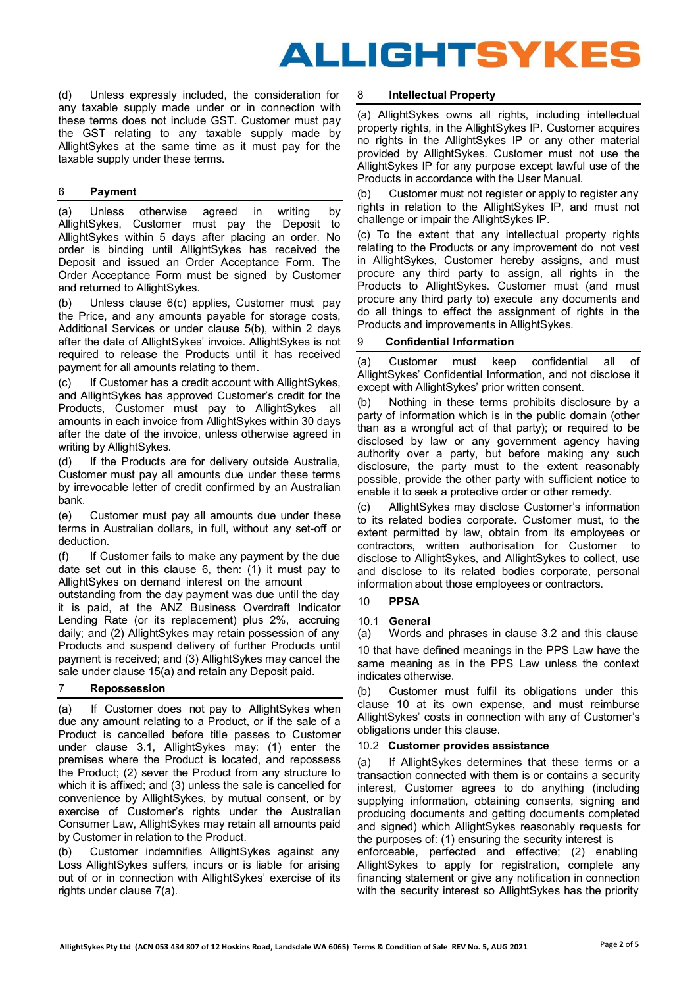

(d) Unless expressly included, the consideration for 8 **Intellectual Property** any taxable supply made under or in connection with these terms does not include GST. Customer must pay the GST relating to any taxable supply made by AllightSykes at the same time as it must pay for the taxable supply under these terms.

(a) Unless otherwise agreed in writing by AllightSykes, Customer must pay the Deposit to AllightSykes within 5 days after placing an order. No order is binding until AllightSykes has received the Deposit and issued an Order Acceptance Form. The Order Acceptance Form must be signed by Customer and returned to AllightSykes.

(b) Unless clause [6\(c\)](#page-1-0) applies, Customer must pay the Price, and any amounts payable for storage costs, Additional Services or under clause [5\(b\),](#page-0-2) within 2 days after the date of AllightSykes' invoice. AllightSykes is not required to release the Products until it has received payment for all amounts relating to them.

(c) If Customer has a credit account with AllightSykes, and AllightSykes has approved Customer's credit for the Products, Customer must pay to AllightSykes all amounts in each invoice from AllightSykes within 30 days after the date of the invoice, unless otherwise agreed in writing by AllightSykes.

(d) If the Products are for delivery outside Australia, Customer must pay all amounts due under these terms by irrevocable letter of credit confirmed by an Australian bank.

(e) Customer must pay all amounts due under these terms in Australian dollars, in full, without any set-off or deduction.

(f) If Customer fails to make any payment by the due date set out in this clause [6,](#page-1-0) then: (1) it must pay to AllightSykes on demand interest on the amount

outstanding from the day payment was due until the day it is paid, at the ANZ Business Overdraft Indicator Lending Rate (or its replacement) plus 2%, accruing daily; and (2) AllightSykes may retain possession of any Products and suspend delivery of further Products until payment is received; and (3) AllightSykes may cancel the sale under clause [15\(a\)](#page-3-1) and retain any Deposit paid.

(a) If Customer does not pay to AllightSykes when due any amount relating to a Product, or if the sale of a Product is cancelled before title passes to Customer under clause [3.1,](#page-0-1) AllightSykes may: (1) enter the premises where the Product is located, and repossess the Product; (2) sever the Product from any structure to which it is affixed; and (3) unless the sale is cancelled for convenience by AllightSykes, by mutual consent, or by exercise of Customer's rights under the Australian Consumer Law, AllightSykes may retain all amounts paid by Customer in relation to the Product.

(b) Customer indemnifies AllightSykes against any enforceable, perfected and effective; (2) enabling Loss AllightSykes suffers, incurs or is liable for arising out of or in connection with AllightSykes' exercise of its rights under clause [7\(a\).](#page-1-2)

(a) AllightSykes owns all rights, including intellectual property rights, in the AllightSykes IP. Customer acquires no rights in the AllightSykes IP or any other material provided by AllightSykes. Customer must not use the AllightSykes IP for any purpose except lawful use of the Products in accordance with the User Manual.

6 **Payment** (b) Customer must not register or apply to register any rights in relation to the AllightSykes IP, and must not challenge or impair the AllightSykes IP.

> <span id="page-1-0"></span>(c) To the extent that any intellectual property rights relating to the Products or any improvement do not vest in AllightSykes, Customer hereby assigns, and must procure any third party to assign, all rights in the Products to AllightSykes. Customer must (and must procure any third party to) execute any documents and do all things to effect the assignment of rights in the Products and improvements in AllightSykes.

#### 9 **Confidential Information**

(a) Customer must keep confidential all of AllightSykes' Confidential Information, and not disclose it except with AllightSykes' prior written consent.

(b) Nothing in these terms prohibits disclosure by a party of information which is in the public domain (other than as a wrongful act of that party); or required to be disclosed by law or any government agency having authority over a party, but before making any such disclosure, the party must to the extent reasonably possible, provide the other party with sufficient notice to enable it to seek a protective order or other remedy.

(c) AllightSykes may disclose Customer's information to its related bodies corporate. Customer must, to the extent permitted by law, obtain from its employees or contractors, written authorisation for Customer to disclose to AllightSykes, and AllightSykes to collect, use and disclose to its related bodies corporate, personal information about those employees or contractors.

#### <span id="page-1-1"></span>10 **PPSA**

#### 10.1 **General**

(a) Words and phrases in clause [3.2](#page-0-3) and this clause

<span id="page-1-2"></span>[10 t](#page-1-1)hat have defined meanings in the PPS Law have the same meaning as in the PPS Law unless the context indicates otherwise.

7 **Repossession** (b) Customer must fulfil its obligations under this clause [10](#page-1-1) at its own expense, and must reimburse AllightSykes' costs in connection with any of Customer's obligations under this clause.

#### <span id="page-1-3"></span>10.2 **Customer provides assistance**

(a) If AllightSykes determines that these terms or a transaction connected with them is or contains a security interest, Customer agrees to do anything (including supplying information, obtaining consents, signing and producing documents and getting documents completed and signed) which AllightSykes reasonably requests for the purposes of: (1) ensuring the security interest is

AllightSykes to apply for registration, complete any financing statement or give any notification in connection with the security interest so AllightSykes has the priority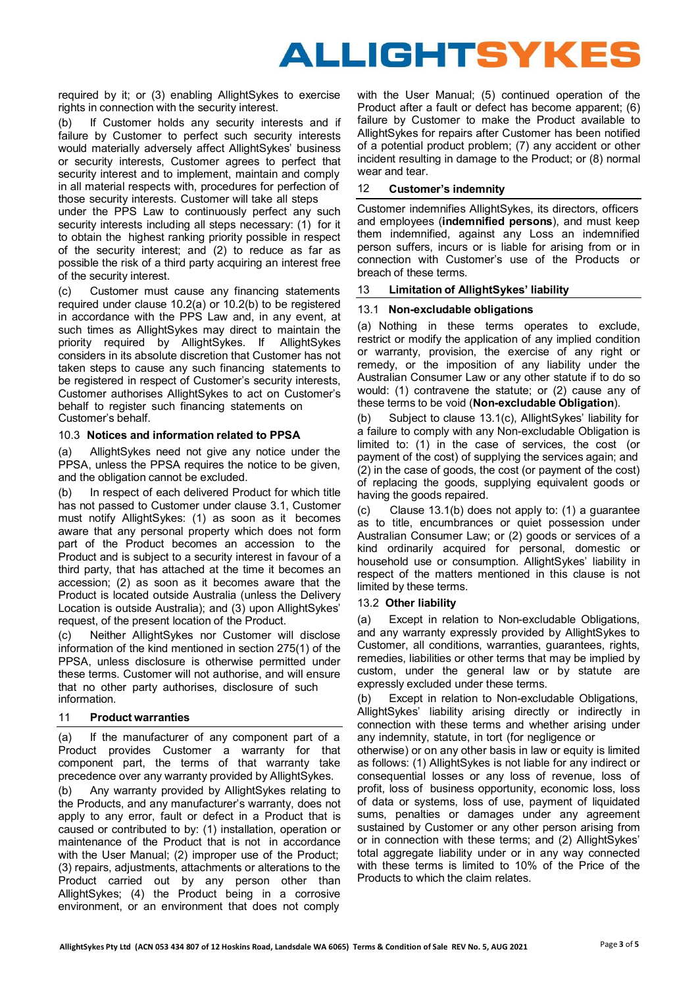

required by it; or (3) enabling AllightSykes to exercise rights in connection with the security interest.

(b) If Customer holds any security interests and if failure by Customer to perfect such security interests would materially adversely affect AllightSykes' business or security interests, Customer agrees to perfect that security interest and to implement, maintain and comply in all material respects with, procedures for perfection of  $12$ those security interests. Customer will take all steps

under the PPS Law to continuously perfect any such security interests including all steps necessary: (1) for it to obtain the highest ranking priority possible in respect of the security interest; and (2) to reduce as far as possible the risk of a third party acquiring an interest free of the security interest.

(c) Customer must cause any financing statements 13 **Limitation of AllightSykes' liability** required under clause [10.2\(a\) o](#page-1-3)r [10.2\(b\) t](#page-1-3)o be registered in accordance with the PPS Law and, in any event, at such times as AllightSykes may direct to maintain the priority required by AllightSykes. If AllightSykes considers in its absolute discretion that Customer has not taken steps to cause any such financing statements to be registered in respect of Customer's security interests, Customer authorises AllightSykes to act on Customer's behalf to register such financing statements on Customer's behalf. (b) Subject to clause [13.1\(c\),](#page-2-0) AllightSykes' liability for

# 10.3 **Notices and information related to PPSA**

(a) AllightSykes need not give any notice under the PPSA, unless the PPSA requires the notice to be given, and the obligation cannot be excluded.

(b) In respect of each delivered Product for which title has not passed to Customer under clause [3.1, C](#page-0-1)ustomer must notify AllightSykes: (1) as soon as it becomes aware that any personal property which does not form part of the Product becomes an accession to the Product and is subject to a security interest in favour of a third party, that has attached at the time it becomes an accession; (2) as soon as it becomes aware that the Product is located outside Australia (unless the Delivery Location is outside Australia); and (3) upon AllightSykes' request, of the present location of the Product.

(c) Neither AllightSykes nor Customer will disclose information of the kind mentioned in section 275(1) of the PPSA, unless disclosure is otherwise permitted under these terms. Customer will not authorise, and will ensure that no other party authorises, disclosure of such information. (b) Except in relation to Non-excludable Obligations,

#### 11 **Product warranties**

(a) If the manufacturer of any component part of a Product provides Customer a warranty for that component part, the terms of that warranty take precedence over any warranty provided by AllightSykes.

(b) Any warranty provided by AllightSykes relating to the Products, and any manufacturer's warranty, does not apply to any error, fault or defect in a Product that is caused or contributed to by: (1) installation, operation or maintenance of the Product that is not in accordance with the User Manual; (2) improper use of the Product; (3) repairs, adjustments, attachments or alterations to the Product carried out by any person other than AllightSykes; (4) the Product being in a corrosive environment, or an environment that does not comply

with the User Manual; (5) continued operation of the Product after a fault or defect has become apparent; (6) failure by Customer to make the Product available to AllightSykes for repairs after Customer has been notified of a potential product problem; (7) any accident or other incident resulting in damage to the Product; or (8) normal wear and tear.

# **Customer's indemnity**

Customer indemnifies AllightSykes, its directors, officers and employees (**indemnified persons**), and must keep them indemnified, against any Loss an indemnified person suffers, incurs or is liable for arising from or in connection with Customer's use of the Products or breach of these terms.

#### <span id="page-2-0"></span>13.1 **Non-excludable obligations**

<span id="page-2-1"></span>(a) Nothing in these terms operates to exclude, restrict or modify the application of any implied condition or warranty, provision, the exercise of any right or remedy, or the imposition of any liability under the Australian Consumer Law or any other statute if to do so would: (1) contravene the statute; or (2) cause any of these terms to be void (**Non-excludable Obligation**).

a failure to comply with any Non-excludable Obligation is limited to: (1) in the case of services, the cost (or payment of the cost) of supplying the services again; and (2) in the case of goods, the cost (or payment of the cost) of replacing the goods, supplying equivalent goods or having the goods repaired.

(c) Clause [13.1\(b\) d](#page-2-0)oes not apply to: (1) a guarantee as to title, encumbrances or quiet possession under Australian Consumer Law; or (2) goods or services of a kind ordinarily acquired for personal, domestic or household use or consumption. AllightSykes' liability in respect of the matters mentioned in this clause is not limited by these terms.

# 13.2 **Other liability**

(a) Except in relation to Non-excludable Obligations, and any warranty expressly provided by AllightSykes to Customer, all conditions, warranties, guarantees, rights, remedies, liabilities or other terms that may be implied by custom, under the general law or by statute are expressly excluded under these terms.

AllightSykes' liability arising directly or indirectly in connection with these terms and whether arising under any indemnity, statute, in tort (for negligence or

otherwise) or on any other basis in law or equity is limited as follows: (1) AllightSykes is not liable for any indirect or consequential losses or any loss of revenue, loss of profit, loss of business opportunity, economic loss, loss of data or systems, loss of use, payment of liquidated sums, penalties or damages under any agreement sustained by Customer or any other person arising from or in connection with these terms; and (2) AllightSykes' total aggregate liability under or in any way connected with these terms is limited to 10% of the Price of the Products to which the claim relates.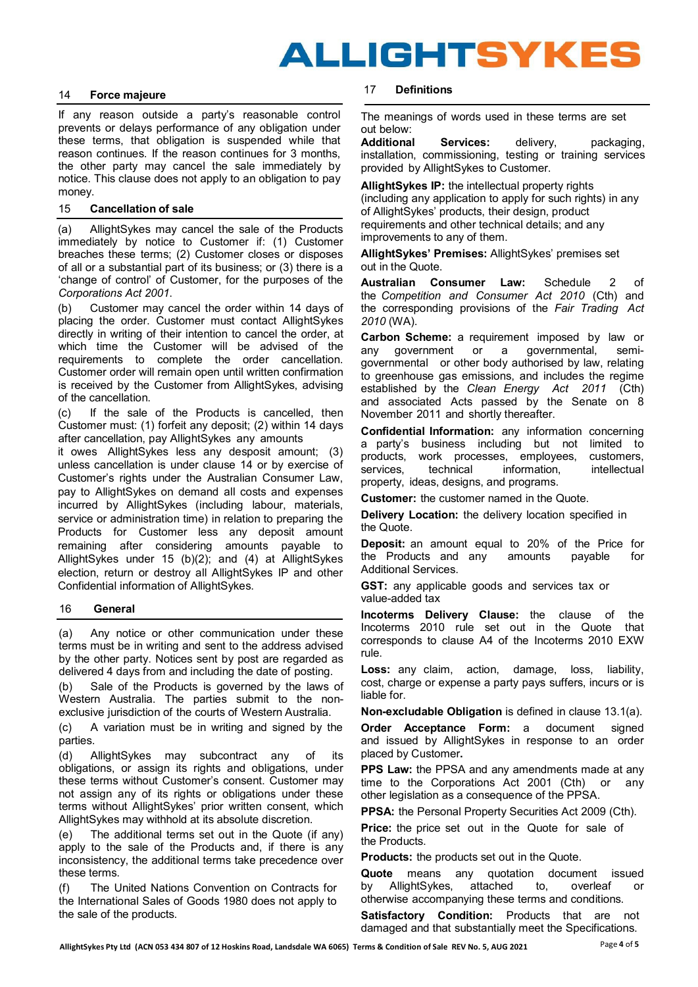

### <span id="page-3-2"></span>14 **Force majeure**

If any reason outside a party's reasonable control prevents or delays performance of any obligation under these terms, that obligation is suspended while that reason continues. If the reason continues for 3 months, the other party may cancel the sale immediately by notice. This clause does not apply to an obligation to pay money.

#### 15 **Cancellation of sale**

(a) AllightSykes may cancel the sale of the Products immediately by notice to Customer if: (1) Customer breaches these terms; (2) Customer closes or disposes of all or a substantial part of its business; or (3) there is a 'change of control' of Customer, for the purposes of the *Corporations Act 2001*.

(b) Customer may cancel the order within 14 days of placing the order. Customer must contact AllightSykes directly in writing of their intention to cancel the order, at which time the Customer will be advised of the requirements to complete the order cancellation. Customer order will remain open until written confirmation is received by the Customer from AllightSykes, advising of the cancellation.

(c) If the sale of the Products is cancelled, then Customer must: (1) forfeit any deposit; (2) within 14 days after cancellation, pay AllightSykes any amounts

<span id="page-3-0"></span>it owes AllightSykes less any desposit amount; (3) unless cancellation is under clause [14](#page-3-2) or by exercise of Customer's rights under the Australian Consumer Law, pay to AllightSykes on demand all costs and expenses incurred by AllightSykes (including labour, materials, service or administration time) in relation to preparing the Products for Customer less any deposit amount remaining after considering amounts payable to AllightSykes under 15 (b)(2); and (4) at AllightSykes election, return or destroy all AllightSykes IP and other Confidential information of AllightSykes.

#### 16 **General**

(a) Any notice or other communication under these terms must be in writing and sent to the address advised by the other party. Notices sent by post are regarded as delivered 4 days from and including the date of posting.

(b) Sale of the Products is governed by the laws of Western Australia. The parties submit to the nonexclusive jurisdiction of the courts of Western Australia.

(c) A variation must be in writing and signed by the parties.

(d) AllightSykes may subcontract any of its obligations, or assign its rights and obligations, under these terms without Customer's consent. Customer may not assign any of its rights or obligations under these terms without AllightSykes' prior written consent, which AllightSykes may withhold at its absolute discretion.

(e) The additional terms set out in the Quote (if any) apply to the sale of the Products and, if there is any inconsistency, the additional terms take precedence over these terms.

(f) The United Nations Convention on Contracts for the International Sales of Goods 1980 does not apply to the sale of the products.

# 17 **Definitions**

The meanings of words used in these terms are set out below:

**Additional Services:** delivery, packaging, installation, commissioning, testing or training services provided by AllightSykes to Customer.

**AllightSykes IP:** the intellectual property rights (including any application to apply for such rights) in any of AllightSykes' products, their design, product requirements and other technical details; and any improvements to any of them.

<span id="page-3-1"></span>**AllightSykes' Premises:** AllightSykes' premises set out in the Quote.

**Australian Consumer Law:** Schedule 2 of the *Competition and Consumer Act 2010* (Cth) and the corresponding provisions of the *Fair Trading Act 2010* (WA).

**Carbon Scheme:** a requirement imposed by law or any government or a governmental, semigovernmental or other body authorised by law, relating to greenhouse gas emissions, and includes the regime established by the *Clean Energy Act 2011* (Cth) and associated Acts passed by the Senate on 8 November 2011 and shortly thereafter.

**Confidential Information:** any information concerning a party's business including but not limited to products, work processes, employees, customers, services, technical information, intellectual property, ideas, designs, and programs.

**Customer:** the customer named in the Quote.

**Delivery Location:** the delivery location specified in the Quote.

**Deposit:** an amount equal to 20% of the Price for the Products and any amounts payable for Additional Services.

**GST:** any applicable goods and services tax or value-added tax

**Incoterms Delivery Clause:** the clause of the Incoterms 2010 rule set out in the Quote that corresponds to clause A4 of the Incoterms 2010 EXW rule.

**Loss:** any claim, action, damage, loss, liability, cost, charge or expense a party pays suffers, incurs or is liable for.

**Non-excludable Obligation** is defined in clause [13.1\(a\).](#page-2-1)

**Order Acceptance Form:** a document signed and issued by AllightSykes in response to an order placed by Customer**.** 

**PPS Law:** the PPSA and any amendments made at any time to the Corporations Act 2001 (Cth) or any other legislation as a consequence of the PPSA.

**PPSA:** the Personal Property Securities Act 2009 (Cth).

**Price:** the price set out in the Quote for sale of the Products.

**Products:** the products set out in the Quote.

**Quote** means any quotation document issued by AllightSykes, attached to, overleaf or otherwise accompanying these terms and conditions.

**Satisfactory Condition:** Products that are not damaged and that substantially meet the Specifications.